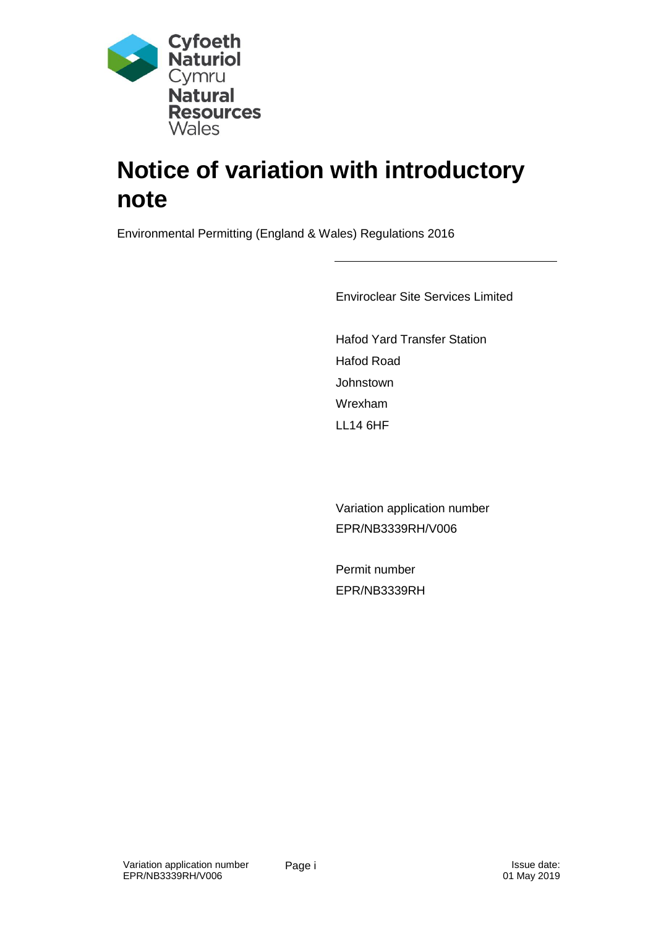

# **Notice of variation with introductory note**

Environmental Permitting (England & Wales) Regulations 2016

Enviroclear Site Services Limited

Hafod Yard Transfer Station Hafod Road **Johnstown** Wrexham LL14 6HF

Variation application number EPR/NB3339RH/V006

Permit number EPR/NB3339RH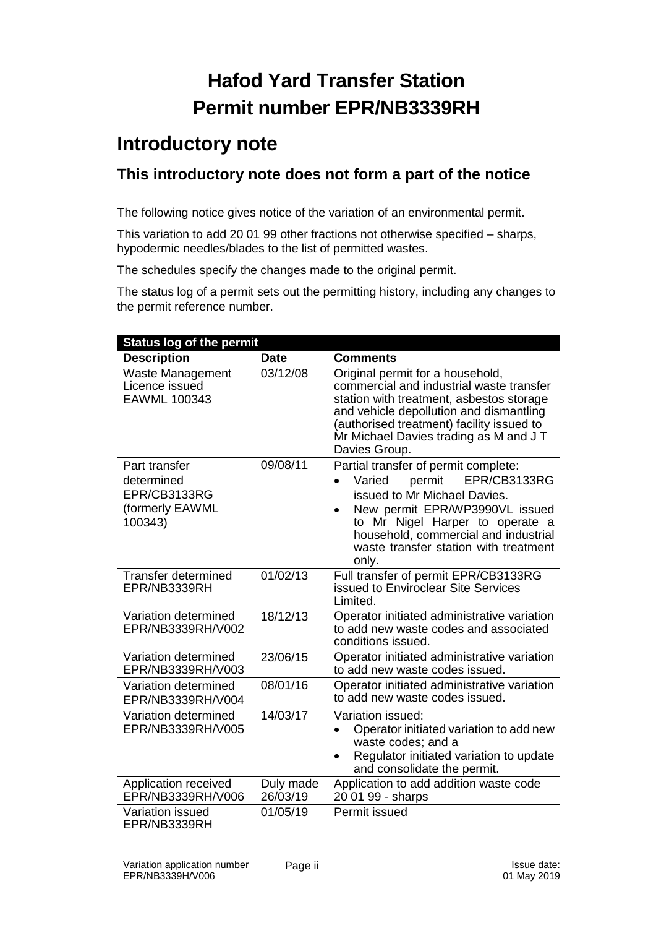## **Hafod Yard Transfer Station Permit number EPR/NB3339RH**

### **Introductory note**

### **This introductory note does not form a part of the notice**

The following notice gives notice of the variation of an environmental permit.

This variation to add 20 01 99 other fractions not otherwise specified – sharps, hypodermic needles/blades to the list of permitted wastes.

The schedules specify the changes made to the original permit.

The status log of a permit sets out the permitting history, including any changes to the permit reference number.

| <b>Status log of the permit</b>                                           |                       |                                                                                                                                                                                                                                                                                      |  |
|---------------------------------------------------------------------------|-----------------------|--------------------------------------------------------------------------------------------------------------------------------------------------------------------------------------------------------------------------------------------------------------------------------------|--|
| <b>Description</b>                                                        | <b>Date</b>           | <b>Comments</b>                                                                                                                                                                                                                                                                      |  |
| Waste Management<br>Licence issued<br>EAWML 100343                        | 03/12/08              | Original permit for a household,<br>commercial and industrial waste transfer<br>station with treatment, asbestos storage<br>and vehicle depollution and dismantling<br>(authorised treatment) facility issued to<br>Mr Michael Davies trading as M and J T<br>Davies Group.          |  |
| Part transfer<br>determined<br>EPR/CB3133RG<br>(formerly EAWML<br>100343) | 09/08/11              | Partial transfer of permit complete:<br>EPR/CB3133RG<br>permit<br>Varied<br>$\bullet$<br>issued to Mr Michael Davies.<br>New permit EPR/WP3990VL issued<br>to Mr Nigel Harper to operate a<br>household, commercial and industrial<br>waste transfer station with treatment<br>only. |  |
| <b>Transfer determined</b><br>EPR/NB3339RH                                | 01/02/13              | Full transfer of permit EPR/CB3133RG<br>issued to Enviroclear Site Services<br>Limited.                                                                                                                                                                                              |  |
| Variation determined<br>EPR/NB3339RH/V002                                 | 18/12/13              | Operator initiated administrative variation<br>to add new waste codes and associated<br>conditions issued.                                                                                                                                                                           |  |
| Variation determined<br>EPR/NB3339RH/V003                                 | 23/06/15              | Operator initiated administrative variation<br>to add new waste codes issued.                                                                                                                                                                                                        |  |
| Variation determined<br>EPR/NB3339RH/V004                                 | 08/01/16              | Operator initiated administrative variation<br>to add new waste codes issued.                                                                                                                                                                                                        |  |
| Variation determined<br>EPR/NB3339RH/V005                                 | 14/03/17              | Variation issued:<br>Operator initiated variation to add new<br>$\bullet$<br>waste codes; and a<br>Regulator initiated variation to update<br>$\bullet$<br>and consolidate the permit.                                                                                               |  |
| Application received<br>EPR/NB3339RH/V006                                 | Duly made<br>26/03/19 | Application to add addition waste code<br>20 01 99 - sharps                                                                                                                                                                                                                          |  |
| Variation issued<br>EPR/NB3339RH                                          | 01/05/19              | Permit issued                                                                                                                                                                                                                                                                        |  |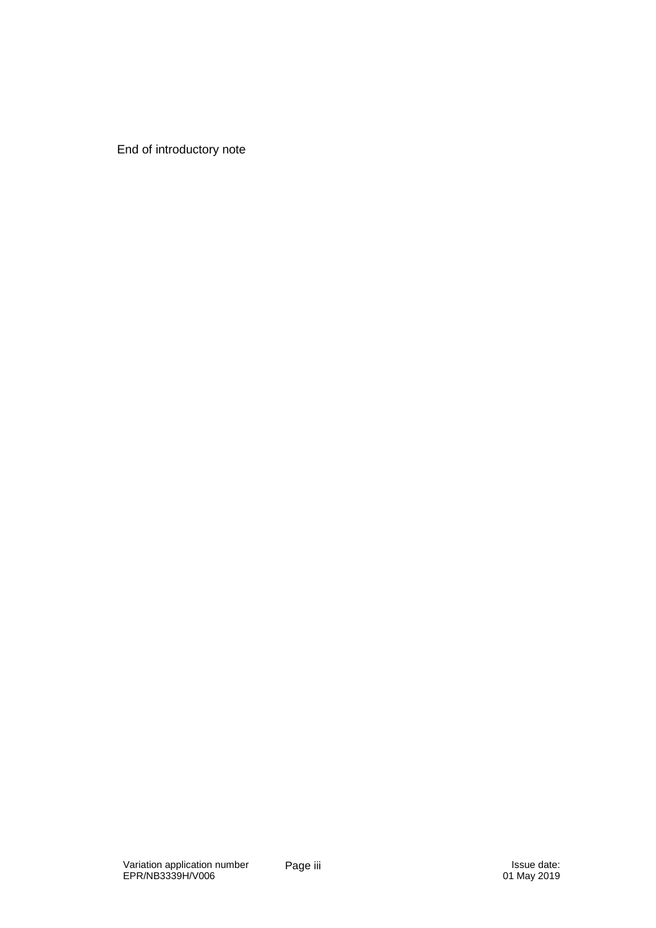End of introductory note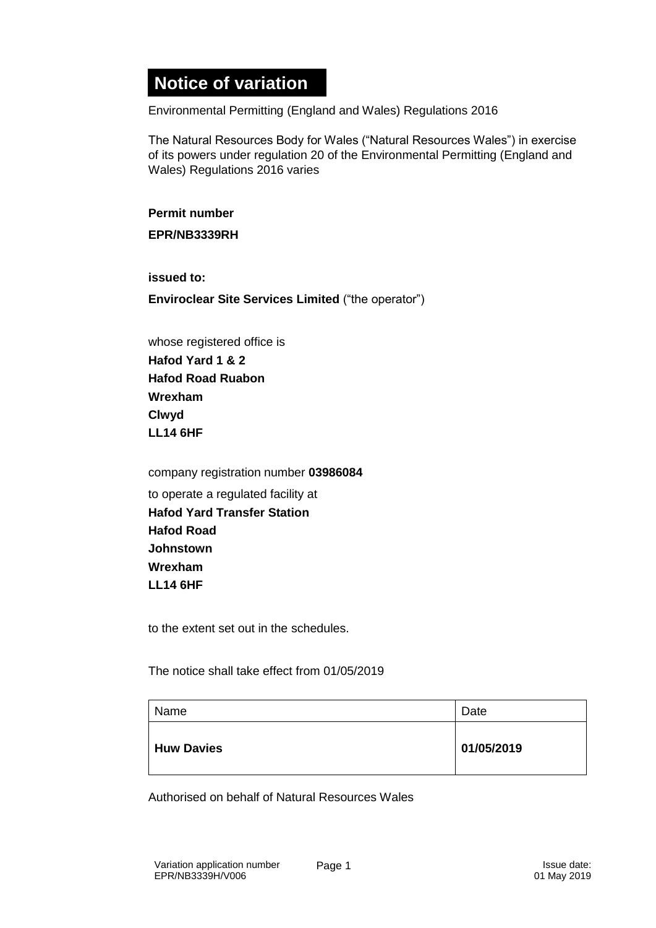### **Notice of variation**

Environmental Permitting (England and Wales) Regulations 2016

The Natural Resources Body for Wales ("Natural Resources Wales") in exercise of its powers under regulation 20 of the Environmental Permitting (England and Wales) Regulations 2016 varies

**Permit number**

**EPR/NB3339RH**

**issued to:**

**Enviroclear Site Services Limited** ("the operator")

whose registered office is **Hafod Yard 1 & 2 Hafod Road Ruabon Wrexham Clwyd LL14 6HF**

company registration number **03986084** to operate a regulated facility at **Hafod Yard Transfer Station Hafod Road Johnstown Wrexham LL14 6HF**

to the extent set out in the schedules.

The notice shall take effect from 01/05/2019

| Name              | Date       |
|-------------------|------------|
| <b>Huw Davies</b> | 01/05/2019 |

Authorised on behalf of Natural Resources Wales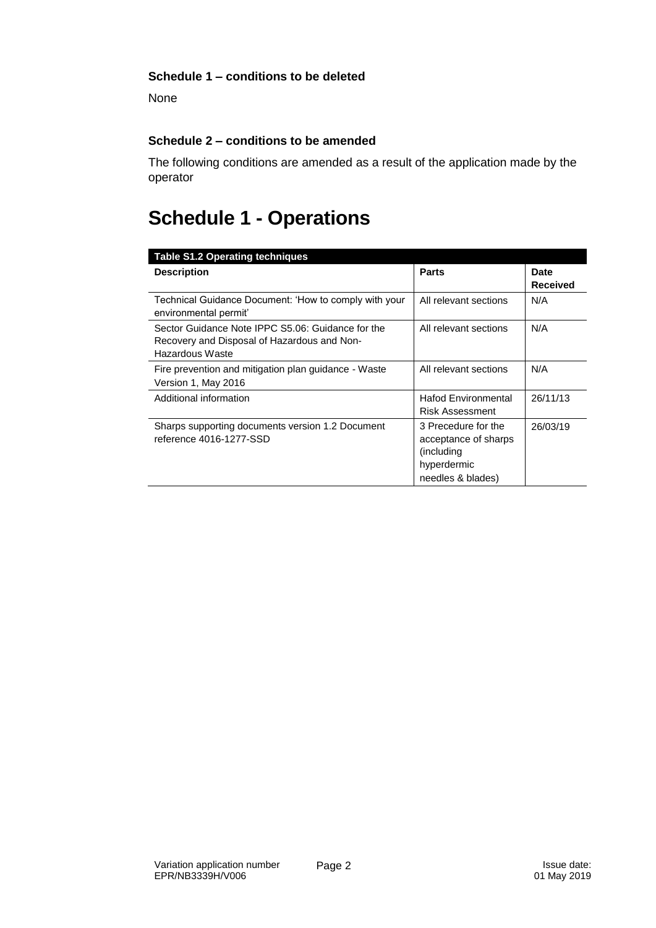#### **Schedule 1 – conditions to be deleted**

None

#### **Schedule 2 – conditions to be amended**

The following conditions are amended as a result of the application made by the operator

### **Schedule 1 - Operations**

| <b>Table S1.2 Operating techniques</b>                                                                              |                                                                                               |                                |
|---------------------------------------------------------------------------------------------------------------------|-----------------------------------------------------------------------------------------------|--------------------------------|
| <b>Description</b>                                                                                                  | <b>Parts</b>                                                                                  | <b>Date</b><br><b>Received</b> |
| Technical Guidance Document: 'How to comply with your<br>environmental permit'                                      | All relevant sections                                                                         | N/A                            |
| Sector Guidance Note IPPC S5.06: Guidance for the<br>Recovery and Disposal of Hazardous and Non-<br>Hazardous Waste | All relevant sections                                                                         | N/A                            |
| Fire prevention and mitigation plan guidance - Waste<br>Version 1, May 2016                                         | All relevant sections                                                                         | N/A                            |
| Additional information                                                                                              | <b>Hafod Environmental</b><br><b>Risk Assessment</b>                                          | 26/11/13                       |
| Sharps supporting documents version 1.2 Document<br>reference 4016-1277-SSD                                         | 3 Precedure for the<br>acceptance of sharps<br>(including<br>hyperdermic<br>needles & blades) | 26/03/19                       |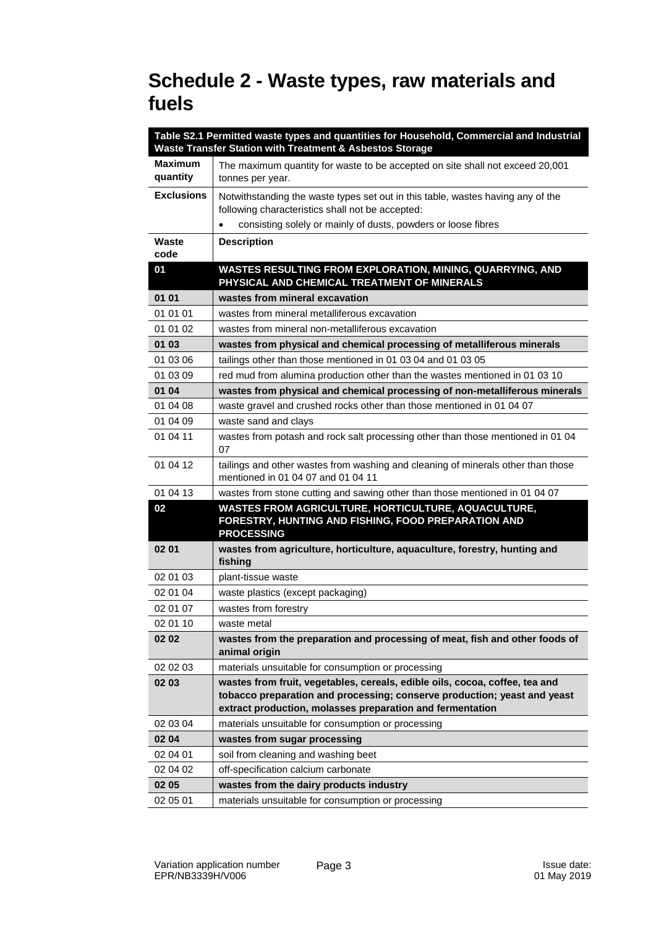### **Schedule 2 - Waste types, raw materials and fuels**

|                     | Table S2.1 Permitted waste types and quantities for Household, Commercial and Industrial                                                                                                                             |
|---------------------|----------------------------------------------------------------------------------------------------------------------------------------------------------------------------------------------------------------------|
|                     | <b>Waste Transfer Station with Treatment &amp; Asbestos Storage</b>                                                                                                                                                  |
| Maximum<br>quantity | The maximum quantity for waste to be accepted on site shall not exceed 20,001<br>tonnes per year.                                                                                                                    |
| <b>Exclusions</b>   | Notwithstanding the waste types set out in this table, wastes having any of the<br>following characteristics shall not be accepted:                                                                                  |
|                     | consisting solely or mainly of dusts, powders or loose fibres<br>$\bullet$                                                                                                                                           |
| Waste               | <b>Description</b>                                                                                                                                                                                                   |
| code                |                                                                                                                                                                                                                      |
| 01                  | WASTES RESULTING FROM EXPLORATION, MINING, QUARRYING, AND<br>PHYSICAL AND CHEMICAL TREATMENT OF MINERALS                                                                                                             |
| 01 01               | wastes from mineral excavation                                                                                                                                                                                       |
| 01 01 01            | wastes from mineral metalliferous excavation                                                                                                                                                                         |
| 01 01 02            | wastes from mineral non-metalliferous excavation                                                                                                                                                                     |
| 01 03               | wastes from physical and chemical processing of metalliferous minerals                                                                                                                                               |
| 01 03 06            | tailings other than those mentioned in 01 03 04 and 01 03 05                                                                                                                                                         |
| 01 03 09            | red mud from alumina production other than the wastes mentioned in 01 03 10                                                                                                                                          |
| 01 04               | wastes from physical and chemical processing of non-metalliferous minerals                                                                                                                                           |
| 01 04 08            | waste gravel and crushed rocks other than those mentioned in 01 04 07                                                                                                                                                |
| 01 04 09            | waste sand and clays                                                                                                                                                                                                 |
| 01 04 11            | wastes from potash and rock salt processing other than those mentioned in 01 04<br>07                                                                                                                                |
| 01 04 12            | tailings and other wastes from washing and cleaning of minerals other than those<br>mentioned in 01 04 07 and 01 04 11                                                                                               |
| 01 04 13            | wastes from stone cutting and sawing other than those mentioned in 01 04 07                                                                                                                                          |
| 02                  | WASTES FROM AGRICULTURE, HORTICULTURE, AQUACULTURE,<br>FORESTRY, HUNTING AND FISHING, FOOD PREPARATION AND<br><b>PROCESSING</b>                                                                                      |
| 02 01               | wastes from agriculture, horticulture, aquaculture, forestry, hunting and<br>fishing                                                                                                                                 |
| 02 01 03            | plant-tissue waste                                                                                                                                                                                                   |
| 02 01 04            | waste plastics (except packaging)                                                                                                                                                                                    |
| 02 01 07            | wastes from forestry                                                                                                                                                                                                 |
| 02 01 10            | waste metal                                                                                                                                                                                                          |
| 02 02               | wastes from the preparation and processing of meat, fish and other foods of<br>animal origin                                                                                                                         |
| 02 02 03            | materials unsuitable for consumption or processing                                                                                                                                                                   |
| 02 03               | wastes from fruit, vegetables, cereals, edible oils, cocoa, coffee, tea and<br>tobacco preparation and processing; conserve production; yeast and yeast<br>extract production, molasses preparation and fermentation |
| 02 03 04            | materials unsuitable for consumption or processing                                                                                                                                                                   |
| 02 04               | wastes from sugar processing                                                                                                                                                                                         |
| 02 04 01            | soil from cleaning and washing beet                                                                                                                                                                                  |
| 02 04 02            | off-specification calcium carbonate                                                                                                                                                                                  |
| 02 05               | wastes from the dairy products industry                                                                                                                                                                              |
| 02 05 01            | materials unsuitable for consumption or processing                                                                                                                                                                   |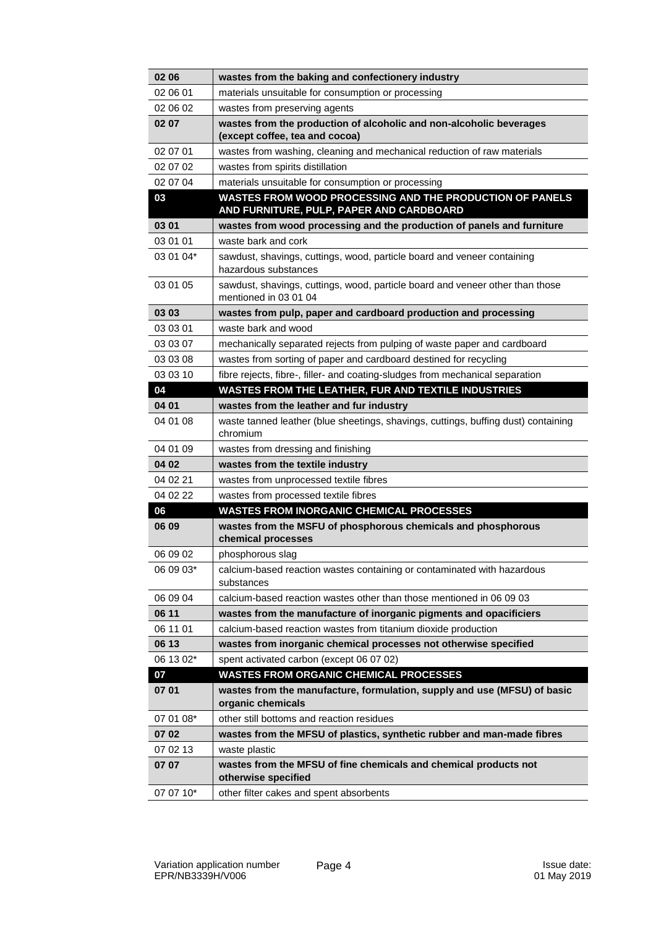| 02 06     | wastes from the baking and confectionery industry                                                      |
|-----------|--------------------------------------------------------------------------------------------------------|
| 02 06 01  | materials unsuitable for consumption or processing                                                     |
| 02 06 02  | wastes from preserving agents                                                                          |
| 02 07     | wastes from the production of alcoholic and non-alcoholic beverages<br>(except coffee, tea and cocoa)  |
| 02 07 01  | wastes from washing, cleaning and mechanical reduction of raw materials                                |
| 02 07 02  | wastes from spirits distillation                                                                       |
| 02 07 04  | materials unsuitable for consumption or processing                                                     |
| 03        | WASTES FROM WOOD PROCESSING AND THE PRODUCTION OF PANELS<br>AND FURNITURE, PULP, PAPER AND CARDBOARD   |
| 03 01     | wastes from wood processing and the production of panels and furniture                                 |
| 03 01 01  | waste bark and cork                                                                                    |
| 03 01 04* | sawdust, shavings, cuttings, wood, particle board and veneer containing<br>hazardous substances        |
| 03 01 05  | sawdust, shavings, cuttings, wood, particle board and veneer other than those<br>mentioned in 03 01 04 |
| 03 03     | wastes from pulp, paper and cardboard production and processing                                        |
| 03 03 01  | waste bark and wood                                                                                    |
| 03 03 07  | mechanically separated rejects from pulping of waste paper and cardboard                               |
| 03 03 08  | wastes from sorting of paper and cardboard destined for recycling                                      |
| 03 03 10  | fibre rejects, fibre-, filler- and coating-sludges from mechanical separation                          |
| 04        | <b>WASTES FROM THE LEATHER, FUR AND TEXTILE INDUSTRIES</b>                                             |
| 04 01     | wastes from the leather and fur industry                                                               |
| 04 01 08  | waste tanned leather (blue sheetings, shavings, cuttings, buffing dust) containing<br>chromium         |
| 04 01 09  | wastes from dressing and finishing                                                                     |
| 04 02     | wastes from the textile industry                                                                       |
| 04 02 21  | wastes from unprocessed textile fibres                                                                 |
| 04 02 22  | wastes from processed textile fibres                                                                   |
| 06        | <b>WASTES FROM INORGANIC CHEMICAL PROCESSES</b>                                                        |
| 06 09     | wastes from the MSFU of phosphorous chemicals and phosphorous<br>chemical processes                    |
| 06 09 02  | phosphorous slag                                                                                       |
| 06 09 03* | calcium-based reaction wastes containing or contaminated with hazardous<br>substances                  |
| 06 09 04  | calcium-based reaction wastes other than those mentioned in 06 09 03                                   |
| 06 11     | wastes from the manufacture of inorganic pigments and opacificiers                                     |
| 06 11 01  | calcium-based reaction wastes from titanium dioxide production                                         |
| 06 13     | wastes from inorganic chemical processes not otherwise specified                                       |
| 06 13 02* | spent activated carbon (except 06 07 02)                                                               |
| 07        | <b>WASTES FROM ORGANIC CHEMICAL PROCESSES</b>                                                          |
| 07 01     | wastes from the manufacture, formulation, supply and use (MFSU) of basic<br>organic chemicals          |
| 07 01 08* | other still bottoms and reaction residues                                                              |
| 07 02     | wastes from the MFSU of plastics, synthetic rubber and man-made fibres                                 |
| 07 02 13  | waste plastic                                                                                          |
| 07 07     | wastes from the MFSU of fine chemicals and chemical products not<br>otherwise specified                |
| 07 07 10* | other filter cakes and spent absorbents                                                                |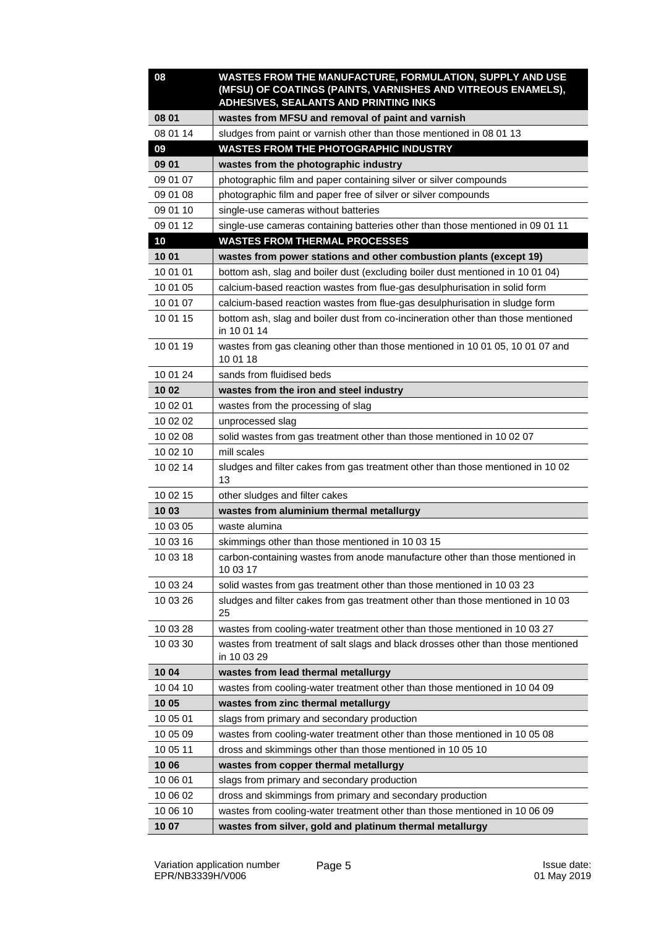| 08       | WASTES FROM THE MANUFACTURE, FORMULATION, SUPPLY AND USE<br>(MFSU) OF COATINGS (PAINTS, VARNISHES AND VITREOUS ENAMELS),<br>ADHESIVES, SEALANTS AND PRINTING INKS |
|----------|-------------------------------------------------------------------------------------------------------------------------------------------------------------------|
| 08 01    | wastes from MFSU and removal of paint and varnish                                                                                                                 |
| 08 01 14 | sludges from paint or varnish other than those mentioned in 08 01 13                                                                                              |
| 09       | <b>WASTES FROM THE PHOTOGRAPHIC INDUSTRY</b>                                                                                                                      |
| 09 01    | wastes from the photographic industry                                                                                                                             |
| 09 01 07 | photographic film and paper containing silver or silver compounds                                                                                                 |
| 09 01 08 | photographic film and paper free of silver or silver compounds                                                                                                    |
| 09 01 10 | single-use cameras without batteries                                                                                                                              |
| 09 01 12 | single-use cameras containing batteries other than those mentioned in 09 01 11                                                                                    |
| 10       | <b>WASTES FROM THERMAL PROCESSES</b>                                                                                                                              |
| 10 01    | wastes from power stations and other combustion plants (except 19)                                                                                                |
| 10 01 01 | bottom ash, slag and boiler dust (excluding boiler dust mentioned in 10 01 04)                                                                                    |
| 10 01 05 | calcium-based reaction wastes from flue-gas desulphurisation in solid form                                                                                        |
| 10 01 07 | calcium-based reaction wastes from flue-gas desulphurisation in sludge form                                                                                       |
| 10 01 15 | bottom ash, slag and boiler dust from co-incineration other than those mentioned<br>in 10 01 14                                                                   |
| 10 01 19 | wastes from gas cleaning other than those mentioned in 10 01 05, 10 01 07 and<br>10 01 18                                                                         |
| 10 01 24 | sands from fluidised beds                                                                                                                                         |
| 10 02    | wastes from the iron and steel industry                                                                                                                           |
| 10 02 01 | wastes from the processing of slag                                                                                                                                |
| 10 02 02 | unprocessed slag                                                                                                                                                  |
| 10 02 08 | solid wastes from gas treatment other than those mentioned in 10 02 07                                                                                            |
| 10 02 10 | mill scales                                                                                                                                                       |
| 10 02 14 | sludges and filter cakes from gas treatment other than those mentioned in 10 02<br>13                                                                             |
| 10 02 15 | other sludges and filter cakes                                                                                                                                    |
| 10 03    | wastes from aluminium thermal metallurgy                                                                                                                          |
| 10 03 05 | waste alumina                                                                                                                                                     |
| 10 03 16 | skimmings other than those mentioned in 10 03 15                                                                                                                  |
| 10 03 18 | carbon-containing wastes from anode manufacture other than those mentioned in<br>10 03 17                                                                         |
| 10 03 24 | solid wastes from gas treatment other than those mentioned in 10 03 23                                                                                            |
| 10 03 26 | sludges and filter cakes from gas treatment other than those mentioned in 10 03<br>25                                                                             |
| 10 03 28 | wastes from cooling-water treatment other than those mentioned in 10 03 27                                                                                        |
| 10 03 30 | wastes from treatment of salt slags and black drosses other than those mentioned<br>in 10 03 29                                                                   |
| 10 04    | wastes from lead thermal metallurgy                                                                                                                               |
| 10 04 10 | wastes from cooling-water treatment other than those mentioned in 10 04 09                                                                                        |
| 10 05    | wastes from zinc thermal metallurgy                                                                                                                               |
| 10 05 01 | slags from primary and secondary production                                                                                                                       |
| 10 05 09 | wastes from cooling-water treatment other than those mentioned in 10 05 08                                                                                        |
| 10 05 11 | dross and skimmings other than those mentioned in 10 05 10                                                                                                        |
| 10 06    | wastes from copper thermal metallurgy                                                                                                                             |
| 10 06 01 | slags from primary and secondary production                                                                                                                       |
| 10 06 02 | dross and skimmings from primary and secondary production                                                                                                         |
| 10 06 10 | wastes from cooling-water treatment other than those mentioned in 10 06 09                                                                                        |
| 10 07    | wastes from silver, gold and platinum thermal metallurgy                                                                                                          |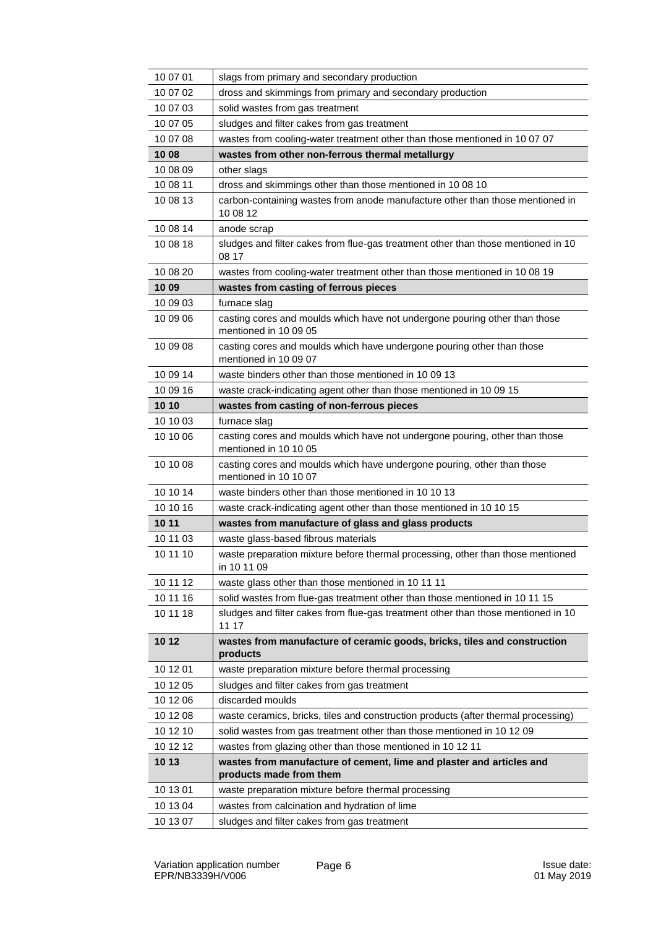| 10 07 01 | slags from primary and secondary production                                                          |
|----------|------------------------------------------------------------------------------------------------------|
| 10 07 02 | dross and skimmings from primary and secondary production                                            |
| 10 07 03 | solid wastes from gas treatment                                                                      |
| 10 07 05 | sludges and filter cakes from gas treatment                                                          |
| 10 07 08 | wastes from cooling-water treatment other than those mentioned in 10 07 07                           |
| 10 08    | wastes from other non-ferrous thermal metallurgy                                                     |
| 10 08 09 | other slags                                                                                          |
| 10 08 11 | dross and skimmings other than those mentioned in 10 08 10                                           |
| 10 08 13 | carbon-containing wastes from anode manufacture other than those mentioned in<br>10 08 12            |
| 10 08 14 | anode scrap                                                                                          |
| 10 08 18 | sludges and filter cakes from flue-gas treatment other than those mentioned in 10<br>08 17           |
| 10 08 20 | wastes from cooling-water treatment other than those mentioned in 10 08 19                           |
| 10 09    | wastes from casting of ferrous pieces                                                                |
| 10 09 03 | furnace slag                                                                                         |
| 10 09 06 | casting cores and moulds which have not undergone pouring other than those<br>mentioned in 10 09 05  |
| 10 09 08 | casting cores and moulds which have undergone pouring other than those<br>mentioned in 10 09 07      |
| 10 09 14 | waste binders other than those mentioned in 10 09 13                                                 |
| 10 09 16 | waste crack-indicating agent other than those mentioned in 10 09 15                                  |
| 10 10    | wastes from casting of non-ferrous pieces                                                            |
| 10 10 03 | furnace slag                                                                                         |
| 10 10 06 | casting cores and moulds which have not undergone pouring, other than those<br>mentioned in 10 10 05 |
| 10 10 08 | casting cores and moulds which have undergone pouring, other than those<br>mentioned in 10 10 07     |
| 10 10 14 | waste binders other than those mentioned in 10 10 13                                                 |
| 10 10 16 | waste crack-indicating agent other than those mentioned in 10 10 15                                  |
| 10 11    | wastes from manufacture of glass and glass products                                                  |
| 10 11 03 | waste glass-based fibrous materials                                                                  |
| 10 11 10 | waste preparation mixture before thermal processing, other than those mentioned<br>in 10 11 09       |
| 10 11 12 | waste glass other than those mentioned in 10 11 11                                                   |
| 10 11 16 | solid wastes from flue-gas treatment other than those mentioned in 10 11 15                          |
| 10 11 18 | sludges and filter cakes from flue-gas treatment other than those mentioned in 10<br>11 17           |
| 10 12    | wastes from manufacture of ceramic goods, bricks, tiles and construction<br>products                 |
| 10 12 01 | waste preparation mixture before thermal processing                                                  |
| 10 12 05 | sludges and filter cakes from gas treatment                                                          |
| 10 12 06 | discarded moulds                                                                                     |
| 10 12 08 | waste ceramics, bricks, tiles and construction products (after thermal processing)                   |
| 10 12 10 | solid wastes from gas treatment other than those mentioned in 10 12 09                               |
| 10 12 12 | wastes from glazing other than those mentioned in 10 12 11                                           |
| 10 13    | wastes from manufacture of cement, lime and plaster and articles and<br>products made from them      |
| 10 13 01 | waste preparation mixture before thermal processing                                                  |
| 10 13 04 | wastes from calcination and hydration of lime                                                        |
| 10 13 07 | sludges and filter cakes from gas treatment                                                          |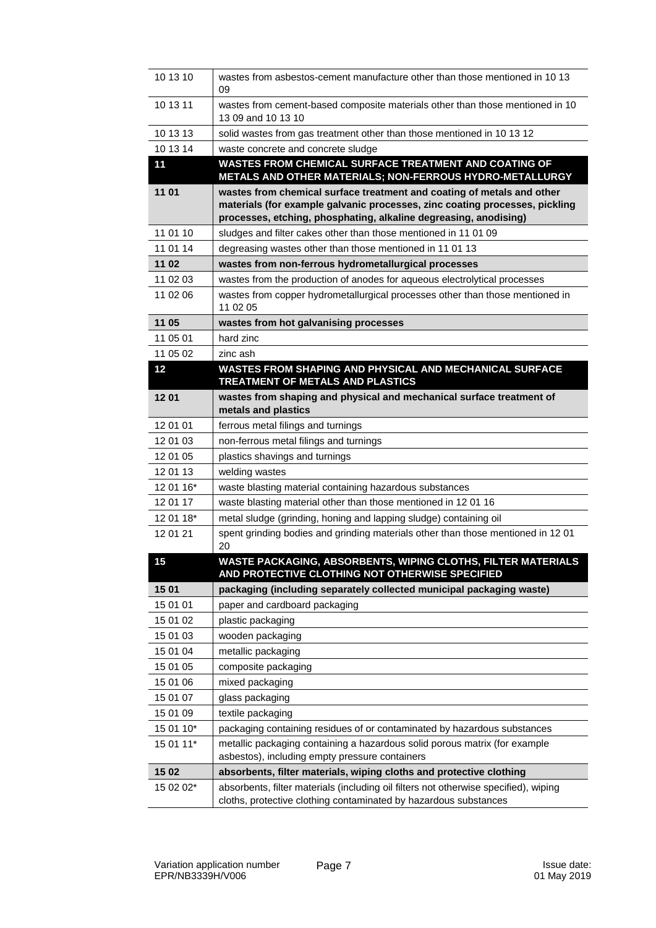| 10 13 10  | wastes from asbestos-cement manufacture other than those mentioned in 10 13<br>09                                                                                                                                         |
|-----------|---------------------------------------------------------------------------------------------------------------------------------------------------------------------------------------------------------------------------|
| 10 13 11  | wastes from cement-based composite materials other than those mentioned in 10<br>13 09 and 10 13 10                                                                                                                       |
| 10 13 13  | solid wastes from gas treatment other than those mentioned in 10 13 12                                                                                                                                                    |
| 10 13 14  | waste concrete and concrete sludge                                                                                                                                                                                        |
| 11        | WASTES FROM CHEMICAL SURFACE TREATMENT AND COATING OF<br>METALS AND OTHER MATERIALS; NON-FERROUS HYDRO-METALLURGY                                                                                                         |
| 11 01     | wastes from chemical surface treatment and coating of metals and other<br>materials (for example galvanic processes, zinc coating processes, pickling<br>processes, etching, phosphating, alkaline degreasing, anodising) |
| 11 01 10  | sludges and filter cakes other than those mentioned in 11 01 09                                                                                                                                                           |
| 11 01 14  | degreasing wastes other than those mentioned in 11 01 13                                                                                                                                                                  |
| 11 02     | wastes from non-ferrous hydrometallurgical processes                                                                                                                                                                      |
| 11 02 03  | wastes from the production of anodes for aqueous electrolytical processes                                                                                                                                                 |
| 11 02 06  | wastes from copper hydrometallurgical processes other than those mentioned in<br>11 02 05                                                                                                                                 |
| 11 05     | wastes from hot galvanising processes                                                                                                                                                                                     |
| 11 05 01  | hard zinc                                                                                                                                                                                                                 |
| 11 05 02  | zinc ash                                                                                                                                                                                                                  |
| 12        | WASTES FROM SHAPING AND PHYSICAL AND MECHANICAL SURFACE<br><b>TREATMENT OF METALS AND PLASTICS</b>                                                                                                                        |
| 1201      | wastes from shaping and physical and mechanical surface treatment of<br>metals and plastics                                                                                                                               |
| 12 01 01  | ferrous metal filings and turnings                                                                                                                                                                                        |
| 12 01 03  | non-ferrous metal filings and turnings                                                                                                                                                                                    |
| 12 01 05  | plastics shavings and turnings                                                                                                                                                                                            |
| 12 01 13  | welding wastes                                                                                                                                                                                                            |
| 12 01 16* | waste blasting material containing hazardous substances                                                                                                                                                                   |
| 12 01 17  | waste blasting material other than those mentioned in 12 01 16                                                                                                                                                            |
| 12 01 18* | metal sludge (grinding, honing and lapping sludge) containing oil                                                                                                                                                         |
| 12 01 21  | spent grinding bodies and grinding materials other than those mentioned in 12 01<br>20                                                                                                                                    |
| 15        | WASTE PACKAGING, ABSORBENTS, WIPING CLOTHS, FILTER MATERIALS<br>AND PROTECTIVE CLOTHING NOT OTHERWISE SPECIFIED                                                                                                           |
| 15 01     | packaging (including separately collected municipal packaging waste)                                                                                                                                                      |
| 15 01 01  | paper and cardboard packaging                                                                                                                                                                                             |
| 15 01 02  | plastic packaging                                                                                                                                                                                                         |
| 15 01 03  | wooden packaging                                                                                                                                                                                                          |
| 15 01 04  | metallic packaging                                                                                                                                                                                                        |
| 15 01 05  | composite packaging                                                                                                                                                                                                       |
| 15 01 06  | mixed packaging                                                                                                                                                                                                           |
| 15 01 07  | glass packaging                                                                                                                                                                                                           |
| 15 01 09  | textile packaging                                                                                                                                                                                                         |
| 15 01 10* | packaging containing residues of or contaminated by hazardous substances                                                                                                                                                  |
| 15 01 11* | metallic packaging containing a hazardous solid porous matrix (for example<br>asbestos), including empty pressure containers                                                                                              |
| 15 02     | absorbents, filter materials, wiping cloths and protective clothing                                                                                                                                                       |
| 15 02 02* | absorbents, filter materials (including oil filters not otherwise specified), wiping<br>cloths, protective clothing contaminated by hazardous substances                                                                  |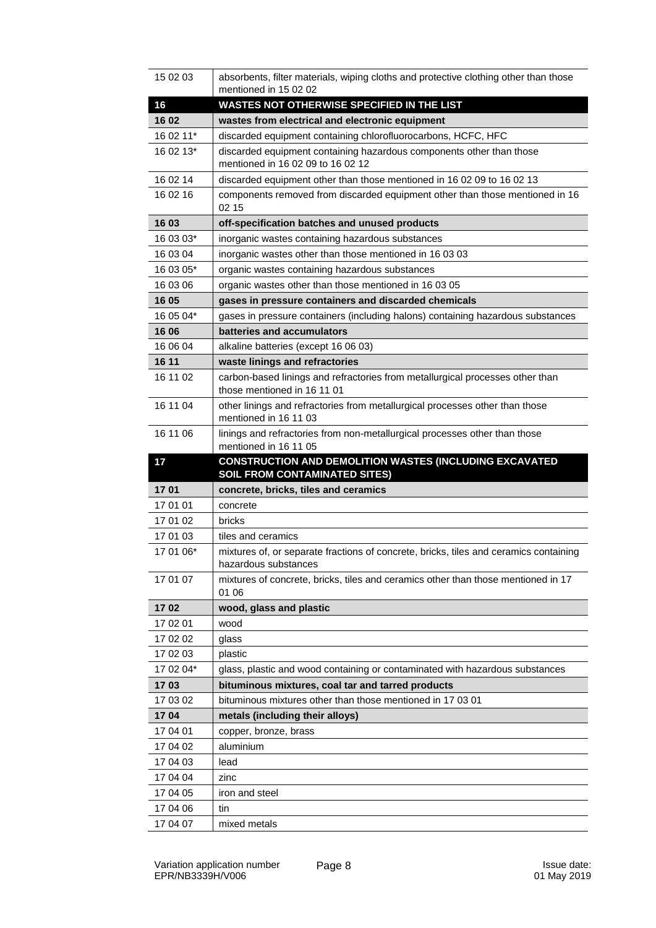| 15 02 03  | absorbents, filter materials, wiping cloths and protective clothing other than those<br>mentioned in 15 02 02 |
|-----------|---------------------------------------------------------------------------------------------------------------|
| 16        | <b>WASTES NOT OTHERWISE SPECIFIED IN THE LIST</b>                                                             |
| 16 02     | wastes from electrical and electronic equipment                                                               |
| 16 02 11* | discarded equipment containing chlorofluorocarbons, HCFC, HFC                                                 |
| 16 02 13* | discarded equipment containing hazardous components other than those                                          |
|           | mentioned in 16 02 09 to 16 02 12                                                                             |
| 16 02 14  | discarded equipment other than those mentioned in 16 02 09 to 16 02 13                                        |
| 16 02 16  | components removed from discarded equipment other than those mentioned in 16<br>02 15                         |
| 16 03     | off-specification batches and unused products                                                                 |
| 16 03 03* | inorganic wastes containing hazardous substances                                                              |
| 16 03 04  | inorganic wastes other than those mentioned in 16 03 03                                                       |
| 16 03 05* | organic wastes containing hazardous substances                                                                |
| 16 03 06  | organic wastes other than those mentioned in 16 03 05                                                         |
| 16 05     | gases in pressure containers and discarded chemicals                                                          |
| 16 05 04* | gases in pressure containers (including halons) containing hazardous substances                               |
| 16 06     | batteries and accumulators                                                                                    |
| 16 06 04  | alkaline batteries (except 16 06 03)                                                                          |
| 16 11     | waste linings and refractories                                                                                |
| 16 11 02  | carbon-based linings and refractories from metallurgical processes other than                                 |
|           | those mentioned in 16 11 01                                                                                   |
| 16 11 04  | other linings and refractories from metallurgical processes other than those<br>mentioned in 16 11 03         |
| 16 11 06  | linings and refractories from non-metallurgical processes other than those<br>mentioned in 16 11 05           |
|           |                                                                                                               |
|           |                                                                                                               |
| 17        | CONSTRUCTION AND DEMOLITION WASTES (INCLUDING EXCAVATED                                                       |
| 1701      | <b>SOIL FROM CONTAMINATED SITES)</b><br>concrete, bricks, tiles and ceramics                                  |
| 17 01 01  | concrete                                                                                                      |
| 17 01 02  | bricks                                                                                                        |
| 17 01 03  | tiles and ceramics                                                                                            |
| 17 01 06* | mixtures of, or separate fractions of concrete, bricks, tiles and ceramics containing<br>hazardous substances |
| 17 01 07  | mixtures of concrete, bricks, tiles and ceramics other than those mentioned in 17<br>01 06                    |
| 1702      | wood, glass and plastic                                                                                       |
| 17 02 01  | wood                                                                                                          |
| 17 02 02  | glass                                                                                                         |
| 17 02 03  | plastic                                                                                                       |
| 17 02 04* | glass, plastic and wood containing or contaminated with hazardous substances                                  |
| 1703      | bituminous mixtures, coal tar and tarred products                                                             |
| 17 03 02  | bituminous mixtures other than those mentioned in 17 03 01                                                    |
| 1704      | metals (including their alloys)                                                                               |
| 17 04 01  | copper, bronze, brass                                                                                         |
| 17 04 02  | aluminium                                                                                                     |
| 17 04 03  | lead                                                                                                          |
| 17 04 04  | zinc                                                                                                          |
| 17 04 05  | iron and steel                                                                                                |
| 17 04 06  | tin                                                                                                           |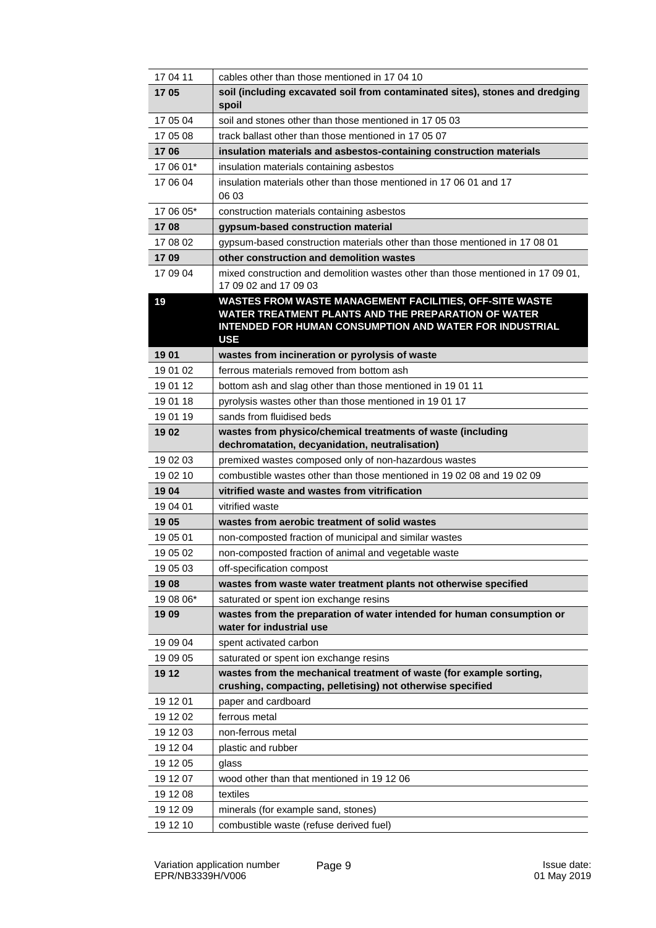| 17 04 11  | cables other than those mentioned in 17 04 10                                                                                                                                           |
|-----------|-----------------------------------------------------------------------------------------------------------------------------------------------------------------------------------------|
| 1705      | soil (including excavated soil from contaminated sites), stones and dredging<br>spoil                                                                                                   |
| 17 05 04  | soil and stones other than those mentioned in 17 05 03                                                                                                                                  |
| 17 05 08  | track ballast other than those mentioned in 17 05 07                                                                                                                                    |
| 1706      | insulation materials and asbestos-containing construction materials                                                                                                                     |
| 17 06 01* | insulation materials containing asbestos                                                                                                                                                |
| 17 06 04  | insulation materials other than those mentioned in 17 06 01 and 17<br>06 03                                                                                                             |
| 17 06 05* | construction materials containing asbestos                                                                                                                                              |
| 1708      | gypsum-based construction material                                                                                                                                                      |
| 17 08 02  | gypsum-based construction materials other than those mentioned in 17 08 01                                                                                                              |
| 1709      | other construction and demolition wastes                                                                                                                                                |
| 17 09 04  | mixed construction and demolition wastes other than those mentioned in 17 09 01,<br>17 09 02 and 17 09 03                                                                               |
| 19        | WASTES FROM WASTE MANAGEMENT FACILITIES, OFF-SITE WASTE<br>WATER TREATMENT PLANTS AND THE PREPARATION OF WATER<br>INTENDED FOR HUMAN CONSUMPTION AND WATER FOR INDUSTRIAL<br><b>USE</b> |
| 1901      | wastes from incineration or pyrolysis of waste                                                                                                                                          |
| 19 01 02  | ferrous materials removed from bottom ash                                                                                                                                               |
| 19 01 12  | bottom ash and slag other than those mentioned in 1901 11                                                                                                                               |
| 19 01 18  | pyrolysis wastes other than those mentioned in 19 01 17                                                                                                                                 |
| 19 01 19  | sands from fluidised beds                                                                                                                                                               |
| 19 02     | wastes from physico/chemical treatments of waste (including<br>dechromatation, decyanidation, neutralisation)                                                                           |
| 19 02 03  | premixed wastes composed only of non-hazardous wastes                                                                                                                                   |
| 19 02 10  | combustible wastes other than those mentioned in 19 02 08 and 19 02 09                                                                                                                  |
| 1904      | vitrified waste and wastes from vitrification                                                                                                                                           |
| 19 04 01  | vitrified waste                                                                                                                                                                         |
| 19 05     | wastes from aerobic treatment of solid wastes                                                                                                                                           |
| 19 05 01  | non-composted fraction of municipal and similar wastes                                                                                                                                  |
| 19 05 02  | non-composted fraction of animal and vegetable waste                                                                                                                                    |
| 19 05 03  | off-specification compost                                                                                                                                                               |
| 1908      | wastes from waste water treatment plants not otherwise specified                                                                                                                        |
| 19 08 06* | saturated or spent ion exchange resins                                                                                                                                                  |
| 19 09     | wastes from the preparation of water intended for human consumption or<br>water for industrial use                                                                                      |
| 19 09 04  | spent activated carbon                                                                                                                                                                  |
| 19 09 05  | saturated or spent ion exchange resins                                                                                                                                                  |
| 19 12     | wastes from the mechanical treatment of waste (for example sorting,<br>crushing, compacting, pelletising) not otherwise specified                                                       |
| 19 12 01  | paper and cardboard                                                                                                                                                                     |
| 19 12 02  | ferrous metal                                                                                                                                                                           |
| 19 12 03  | non-ferrous metal                                                                                                                                                                       |
| 19 12 04  | plastic and rubber                                                                                                                                                                      |
| 19 12 05  | glass                                                                                                                                                                                   |
| 19 12 07  | wood other than that mentioned in 1912 06                                                                                                                                               |
| 19 12 08  | textiles                                                                                                                                                                                |
| 19 12 09  | minerals (for example sand, stones)                                                                                                                                                     |
| 19 12 10  | combustible waste (refuse derived fuel)                                                                                                                                                 |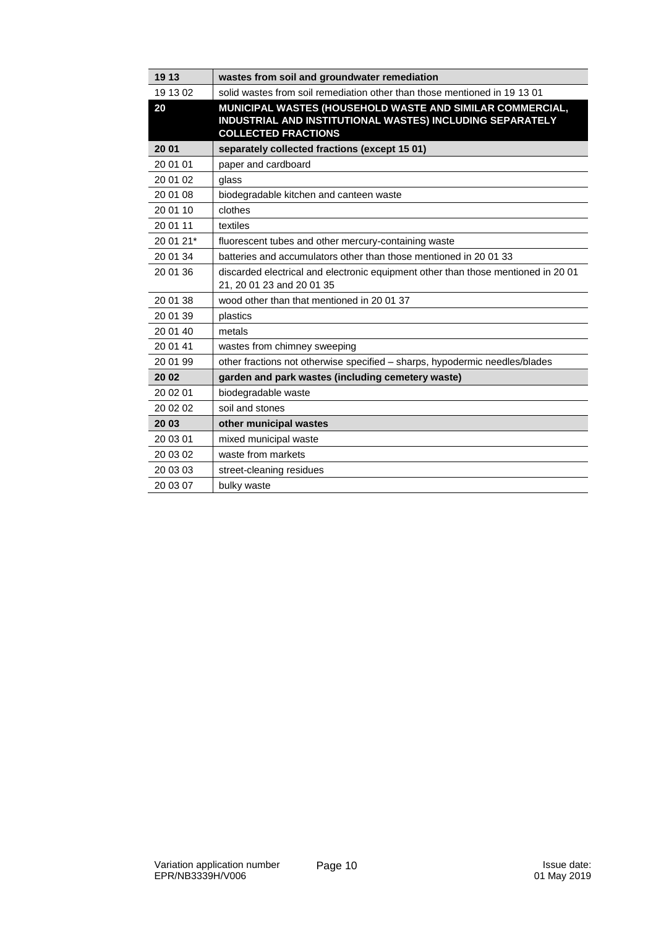| 19 13     | wastes from soil and groundwater remediation                                                                                                         |
|-----------|------------------------------------------------------------------------------------------------------------------------------------------------------|
| 19 13 02  | solid wastes from soil remediation other than those mentioned in 19 13 01                                                                            |
| 20        | MUNICIPAL WASTES (HOUSEHOLD WASTE AND SIMILAR COMMERCIAL,<br>INDUSTRIAL AND INSTITUTIONAL WASTES) INCLUDING SEPARATELY<br><b>COLLECTED FRACTIONS</b> |
| 20 01     | separately collected fractions (except 15 01)                                                                                                        |
| 20 01 01  | paper and cardboard                                                                                                                                  |
| 20 01 02  | glass                                                                                                                                                |
| 20 01 08  | biodegradable kitchen and canteen waste                                                                                                              |
| 20 01 10  | clothes                                                                                                                                              |
| 20 01 11  | textiles                                                                                                                                             |
| 20 01 21* | fluorescent tubes and other mercury-containing waste                                                                                                 |
| 20 01 34  | batteries and accumulators other than those mentioned in 2001 33                                                                                     |
| 20 01 36  | discarded electrical and electronic equipment other than those mentioned in 20 01<br>21, 20 01 23 and 20 01 35                                       |
| 20 01 38  | wood other than that mentioned in 20 01 37                                                                                                           |
| 20 01 39  | plastics                                                                                                                                             |
| 20 01 40  | metals                                                                                                                                               |
| 20 01 41  | wastes from chimney sweeping                                                                                                                         |
| 20 01 99  | other fractions not otherwise specified - sharps, hypodermic needles/blades                                                                          |
| 20 02     | garden and park wastes (including cemetery waste)                                                                                                    |
| 20 02 01  | biodegradable waste                                                                                                                                  |
| 20 02 02  | soil and stones                                                                                                                                      |
| 20 03     | other municipal wastes                                                                                                                               |
| 20 03 01  | mixed municipal waste                                                                                                                                |
| 20 03 02  | waste from markets                                                                                                                                   |
| 20 03 03  | street-cleaning residues                                                                                                                             |
| 20 03 07  | bulky waste                                                                                                                                          |